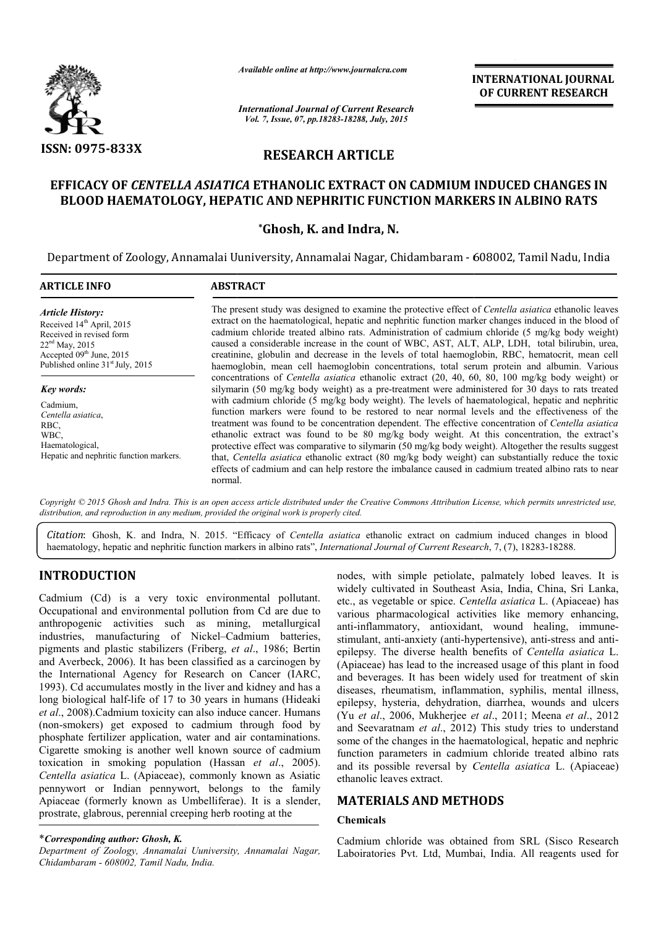

*Available online at http://www.journalcra.com*

INTERNATIONAL INTERNATIONAL JOURNAL OF CURRENT RESEARCH

*International Journal of Current Research Vol. 7, Issue, 07, pp.18283-18288, July, 2015*

# RESEARCH ARTICLE

# EFFICACY OF *CENTELLA ASIATICA* ETHANOLIC EXTRACT ON CADMIUM INDUCED CHANGES IN BLOOD HAEMATOLOGY, HEPATIC AND NEPHRITIC FUNCTION MARKERS IN ALBINO RATS

## \*Ghosh, K. and Indra, N.

Department of Zoology, Annamalai Uuniversity, Annamalai Nagar, Chidambaram - 608002, Tamil Nadu, India

| <b>ARTICLE INFO</b>                                                                                                                          | <b>ABSTRACT</b>                                                                                                                                                                                                                                                                                                                                                                                                                                                                                                                                                                                                                                                                                                                 |  |  |
|----------------------------------------------------------------------------------------------------------------------------------------------|---------------------------------------------------------------------------------------------------------------------------------------------------------------------------------------------------------------------------------------------------------------------------------------------------------------------------------------------------------------------------------------------------------------------------------------------------------------------------------------------------------------------------------------------------------------------------------------------------------------------------------------------------------------------------------------------------------------------------------|--|--|
| <b>Article History:</b><br>Received 14 <sup>th</sup> April, 2015<br>Received in revised form<br>$22nd$ May, 2015<br>Accepted 09th June, 2015 | The present study was designed to examine the protective effect of <i>Centella asiatica</i> ethanolic leaves<br>extract on the haematological, hepatic and nephritic function marker changes induced in the blood of<br>cadmium chloride treated albino rats. Administration of cadmium chloride (5 mg/kg body weight)<br>caused a considerable increase in the count of WBC, AST, ALT, ALP, LDH, total bilirubin, urea,<br>creatinine, globulin and decrease in the levels of total haemoglobin, RBC, hematocrit, mean cell                                                                                                                                                                                                    |  |  |
| Published online 31 <sup>st</sup> July, 2015                                                                                                 | haemoglobin, mean cell haemoglobin concentrations, total serum protein and albumin. Various                                                                                                                                                                                                                                                                                                                                                                                                                                                                                                                                                                                                                                     |  |  |
| <b>Key words:</b>                                                                                                                            | concentrations of <i>Centella asiatica</i> ethanolic extract (20, 40, 60, 80, 100 mg/kg body weight) or<br>silymarin (50 mg/kg body weight) as a pre-treatment were administered for 30 days to rats treated                                                                                                                                                                                                                                                                                                                                                                                                                                                                                                                    |  |  |
| Cadmium,<br>Centella asiatica,<br>RBC.<br>WBC.<br>Haematological,<br>Hepatic and nephritic function markers.                                 | with cadmium chloride (5 mg/kg body weight). The levels of haematological, hepatic and nephritic<br>function markers were found to be restored to near normal levels and the effectiveness of the<br>treatment was found to be concentration dependent. The effective concentration of Centella asiatica<br>ethanolic extract was found to be 80 mg/kg body weight. At this concentration, the extract's<br>protective effect was comparative to silymarin (50 mg/kg body weight). Altogether the results suggest<br>that, Centella asiatica ethanolic extract (80 mg/kg body weight) can substantially reduce the toxic<br>effects of cadmium and can help restore the imbalance caused in cadmium treated albino rats to near |  |  |

Copyright © 2015 Ghosh and Indra. This is an open access article distributed under the Creative Commons Attribution License, which permits unrestricted use, *distribution, and reproduction in any medium, provided the original work is properly cited.*

Citation: Ghosh, K. and Indra, N. 2015. "Efficacy of Centella asiatica ethanolic extract on cadmium induced changes in blood Citation: Ghosh, K. and Indra, N. 2015. "Efficacy of *Centella asiatica* ethanolic extract on cadmium induced changes in albino rats", *International Journal of Current Research*, 7, (7), 18283-18288.

# INTRODUCTION

Cadmium (Cd) is a very toxic environmental pollutant. Occupational and environmental pollution from Cd are due to anthropogenic activities such as mining, metallurgical industries, manufacturing of Nickel–Cadmium batteries, industries, manufacturing of Nickel-Cadmium batteries, pigments and plastic stabilizers (Friberg, *et al.*, 1986; Bertin and Averbeck, 2006). It has been classified as a carcinogen by the International Agency for Research on Cancer (IARC, 1993). Cd accumulates mostly in the liver and kidney and has a long biological half-life of 17 to 30 years in humans (Hideaki *et al*., 2008).Cadmium toxicity can also induce cancer. Humans (non-smokers) get exposed to cadmium through food by phosphate fertilizer application, water and air contaminations. (non-smokers) get exposed to cadmium through food by<br>phosphate fertilizer application, water and air contaminations.<br>Cigarette smoking is another well known source of cadmium toxication in smoking population (Hassan *et al*., 2005). *Centella asiatica* L. (Apiaceae), commonly known as Asiatic pennywort or Indian pennywort, belongs to the family Apiaceae (formerly known as Umbelliferae). It is a slender, prostrate, glabrous, perennial creeping herb rooting at the **JCTION**<br>
nodes, with simple petiolate, palmately<br>
nodes, with simple petiolate, palmately<br>
rediction from Cd are due to<br>
etc., as vegetable or spice. Centella asiat<br>
incircle activities such as mining, metallurgical<br>
man

### \**Corresponding author: Ghosh, K.*

*Department of Zoology, Annamalai Uuniversity, Annamalai Nagar, Chidambaram - 608002, Tamil Nadu, India.*

widely cultivated in Southeast Asia, India, China, Sri Lanka, etc., as vegetable or spice. *Centella asiatica* L. (Apiaceae) has various pharmacological activities like memory enhancing, various pharmacological activities like memory enhancing, anti-inflammatory, antioxidant, wound healing, immunestimulant, anti-anxiety (anti-hypertensive), anti hypertensive), anti-stress and antiepilepsy. The diverse health benefits of *Centella asiatica* L. (Apiaceae) has lead to the increased usage of this plant in food (Apiaceae) has lead to the increased usage of this plant in food and beverages. It has been widely used for treatment of skin diseases, rheumatism, inflammation, syphilis, mental illness, diseases, rheumatism, inflammation, syphilis, mental illness, epilepsy, hysteria, dehydration, diarrhea, wounds and ulcers (Yu *et al*., 2006, Mukherjee *et al et al*., 2011; Meena *et al*., 2012 and Seevaratnam *et al*., 2012) This study tries to understand some of the changes in the haematological, hepatic and nephric function parameters in cadmium chloride treated albino rats and its possible reversal by *Centella asiatica*  ethanolic leaves extract. nodes, with simple petiolate, palmately lobed leaves. It is he changes in the haematological, hepatic and nephric<br>parameters in cadmium chloride treated albino rats<br>oossible reversal by *Centella asiatica* L. (Apiaceae) **INTERNATIONAL JOURNAL OF CURRENT RESEARCH CONTRIGUAL CONTRIGUAL CONTRIGUAL CONTRIGUAL AND AND AND AND AND AND AND AND A STATE of Centrella assiatized ethnolic leaves on marker changes induced in the blood of n ALF. I.D.H** 

## MATERIALS AND METHODS METHODS

#### Chemicals

Cadmium chloride was obtained from SRL (Sisco Research Laboiratories Pvt. Ltd, Mumbai, India. All reagents used for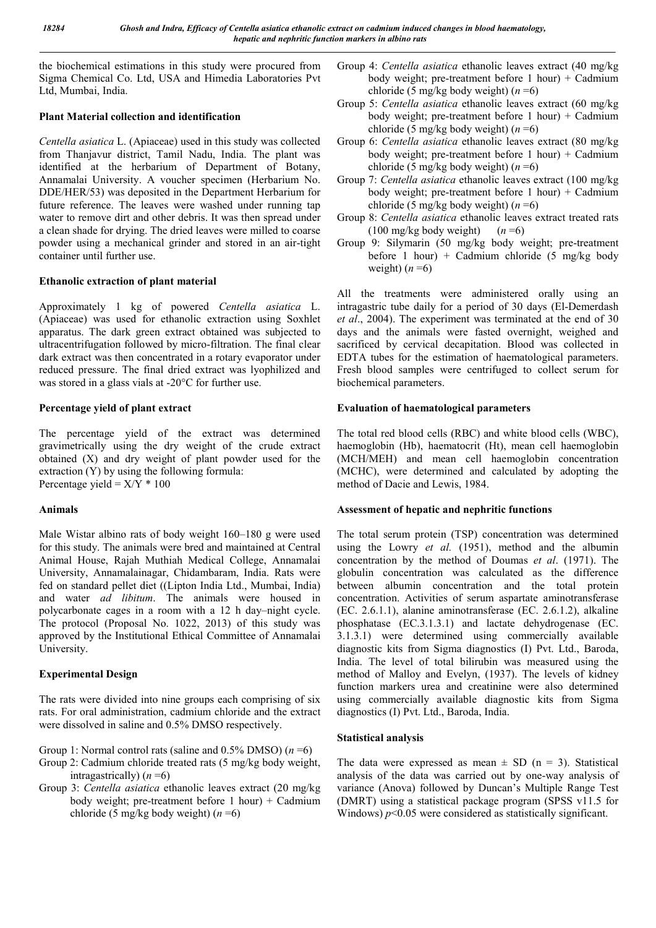the biochemical estimations in this study were procured from Sigma Chemical Co. Ltd, USA and Himedia Laboratories Pvt Ltd, Mumbai, India.

### Plant Material collection and identification

*Centella asiatica* L. (Apiaceae) used in this study was collected from Thanjavur district, Tamil Nadu, India. The plant was identified at the herbarium of Department of Botany, Annamalai University. A voucher specimen (Herbarium No. DDE/HER/53) was deposited in the Department Herbarium for future reference. The leaves were washed under running tap water to remove dirt and other debris. It was then spread under a clean shade for drying. The dried leaves were milled to coarse powder using a mechanical grinder and stored in an air-tight container until further use.

### Ethanolic extraction of plant material

Approximately 1 kg of powered *Centella asiatica* L. (Apiaceae) was used for ethanolic extraction using Soxhlet apparatus. The dark green extract obtained was subjected to ultracentrifugation followed by micro-filtration. The final clear dark extract was then concentrated in a rotary evaporator under reduced pressure. The final dried extract was lyophilized and was stored in a glass vials at -20°C for further use.

## Percentage yield of plant extract

The percentage yield of the extract was determined gravimetrically using the dry weight of the crude extract obtained (X) and dry weight of plant powder used for the extraction (Y) by using the following formula: Percentage yield =  $X/Y$  \* 100

## Animals

Male Wistar albino rats of body weight 160–180 g were used for this study. The animals were bred and maintained at Central Animal House, Rajah Muthiah Medical College, Annamalai University, Annamalainagar, Chidambaram, India. Rats were fed on standard pellet diet ((Lipton India Ltd., Mumbai, India) and water *ad libitum*. The animals were housed in polycarbonate cages in a room with a 12 h day–night cycle. The protocol (Proposal No. 1022, 2013) of this study was approved by the Institutional Ethical Committee of Annamalai University.

## Experimental Design

The rats were divided into nine groups each comprising of six rats. For oral administration, cadmium chloride and the extract were dissolved in saline and 0.5% DMSO respectively.

- Group 1: Normal control rats (saline and 0.5% DMSO) (*n* =6)
- Group 2: Cadmium chloride treated rats (5 mg/kg body weight, intragastrically) (*n* =6)
- Group 3: *Centella asiatica* ethanolic leaves extract (20 mg/kg body weight; pre-treatment before  $1$  hour) + Cadmium chloride (5 mg/kg body weight) (*n* =6)
- Group 4: *Centella asiatica* ethanolic leaves extract (40 mg/kg body weight; pre-treatment before 1 hour) + Cadmium chloride (5 mg/kg body weight)  $(n = 6)$
- Group 5: *Centella asiatica* ethanolic leaves extract (60 mg/kg body weight; pre-treatment before  $1$  hour) + Cadmium chloride (5 mg/kg body weight) (*n* =6)
- Group 6: *Centella asiatica* ethanolic leaves extract (80 mg/kg body weight; pre-treatment before 1 hour) + Cadmium chloride (5 mg/kg body weight) (*n* =6)
- Group 7: *Centella asiatica* ethanolic leaves extract (100 mg/kg body weight; pre-treatment before  $1$  hour) + Cadmium chloride (5 mg/kg body weight) (*n* =6)
- Group 8: *Centella asiatica* ethanolic leaves extract treated rats (100 mg/kg body weight)  $(n=6)$
- Group 9: Silymarin (50 mg/kg body weight; pre-treatment before 1 hour) + Cadmium chloride (5 mg/kg body weight)  $(n=6)$

All the treatments were administered orally using an intragastric tube daily for a period of 30 days (El-Demerdash *et al*., 2004). The experiment was terminated at the end of 30 days and the animals were fasted overnight, weighed and sacrificed by cervical decapitation. Blood was collected in EDTA tubes for the estimation of haematological parameters. Fresh blood samples were centrifuged to collect serum for biochemical parameters.

## Evaluation of haematological parameters

The total red blood cells (RBC) and white blood cells (WBC), haemoglobin (Hb), haematocrit (Ht), mean cell haemoglobin (MCH/MEH) and mean cell haemoglobin concentration (MCHC), were determined and calculated by adopting the method of Dacie and Lewis, 1984.

## Assessment of hepatic and nephritic functions

The total serum protein (TSP) concentration was determined using the Lowry *et al.* (1951), method and the albumin concentration by the method of Doumas *et al*. (1971). The globulin concentration was calculated as the difference between albumin concentration and the total protein concentration. Activities of serum aspartate aminotransferase (EC. 2.6.1.1), alanine aminotransferase (EC. 2.6.1.2), alkaline phosphatase (EC.3.1.3.1) and lactate dehydrogenase (EC. 3.1.3.1) were determined using commercially available diagnostic kits from Sigma diagnostics (I) Pvt. Ltd., Baroda, India. The level of total bilirubin was measured using the method of Malloy and Evelyn, (1937). The levels of kidney function markers urea and creatinine were also determined using commercially available diagnostic kits from Sigma diagnostics (I) Pvt. Ltd., Baroda, India.

## Statistical analysis

The data were expressed as mean  $\pm$  SD (n = 3). Statistical analysis of the data was carried out by one-way analysis of variance (Anova) followed by Duncan's Multiple Range Test (DMRT) using a statistical package program (SPSS v11.5 for Windows)  $p$ <0.05 were considered as statistically significant.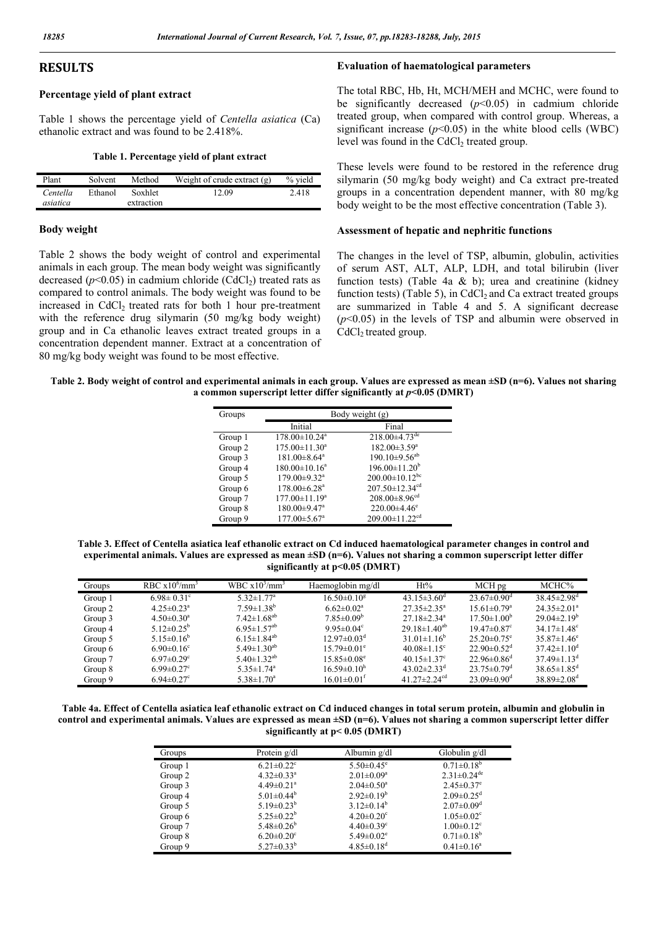### RESULTS

#### Percentage yield of plant extract

Table 1 shows the percentage yield of *Centella asiatica* (Ca) ethanolic extract and was found to be 2.418%.

#### Table 1. Percentage yield of plant extract

| Plant    | Solvent | Method     | Weight of crude extract $(g)$ | % yield |
|----------|---------|------------|-------------------------------|---------|
| Centella | Ethanol | Soxhlet    | 12.09                         | 2.418   |
| asiatica |         | extraction |                               |         |

#### Body weight

Table 2 shows the body weight of control and experimental animals in each group. The mean body weight was significantly decreased  $(p<0.05)$  in cadmium chloride (CdCl<sub>2</sub>) treated rats as compared to control animals. The body weight was found to be increased in  $CdCl<sub>2</sub>$  treated rats for both 1 hour pre-treatment with the reference drug silymarin (50 mg/kg body weight) group and in Ca ethanolic leaves extract treated groups in a concentration dependent manner. Extract at a concentration of 80 mg/kg body weight was found to be most effective.

#### Evaluation of haematological parameters

The total RBC, Hb, Ht, MCH/MEH and MCHC, were found to be significantly decreased  $(p<0.05)$  in cadmium chloride treated group, when compared with control group. Whereas, a significant increase  $(p<0.05)$  in the white blood cells (WBC) level was found in the CdCl<sub>2</sub> treated group.

These levels were found to be restored in the reference drug silymarin (50 mg/kg body weight) and Ca extract pre-treated groups in a concentration dependent manner, with 80 mg/kg body weight to be the most effective concentration (Table 3).

#### Assessment of hepatic and nephritic functions

The changes in the level of TSP, albumin, globulin, activities of serum AST, ALT, ALP, LDH, and total bilirubin (liver function tests) (Table 4a & b); urea and creatinine (kidney function tests) (Table 5), in CdCl<sub>2</sub> and Ca extract treated groups are summarized in Table 4 and 5. A significant decrease (*p*<0.05) in the levels of TSP and albumin were observed in CdCl<sub>2</sub> treated group.

| Table 2. Body weight of control and experimental animals in each group. Values are expressed as mean $\pm SD$ (n=6). Values not sharing |  |
|-----------------------------------------------------------------------------------------------------------------------------------------|--|
| a common superscript letter differ significantly at $p<0.05$ (DMRT)                                                                     |  |

| Groups  | Body weight (g)                 |                                  |  |
|---------|---------------------------------|----------------------------------|--|
|         | Initial                         | Final                            |  |
| Group 1 | $178.00 \pm 10.24$ <sup>a</sup> | $218.00\pm4.73$ <sup>de</sup>    |  |
| Group 2 | $175.00 \pm 11.30$ <sup>a</sup> | $182.00 \pm 3.59^a$              |  |
| Group 3 | $181.00 \pm 8.64$ <sup>a</sup>  | $190.10\pm9.56^{ab}$             |  |
| Group 4 | $180.00 \pm 10.16^a$            | $196.00 \pm 11.20^b$             |  |
| Group 5 | 179.00±9.32 <sup>a</sup>        | $200.00 \pm 10.12^{bc}$          |  |
| Group 6 | $178.00 \pm 6.28$ <sup>a</sup>  | $207.50 \pm 12.34$ <sup>cd</sup> |  |
| Group 7 | $177.00 \pm 11.19^a$            | $208.00\pm8.96^{cd}$             |  |
| Group 8 | $180.00 \pm 9.47$ <sup>a</sup>  | $220.00\pm4.46^{\circ}$          |  |
| Group 9 | $177.00 \pm 5.67$ <sup>a</sup>  | $209.00 \pm 11.22$ <sup>cd</sup> |  |

Table 3. Effect of Centella asiatica leaf ethanolic extract on Cd induced haematological parameter changes in control and experimental animals. Values are expressed as mean  $\pm SD$  (n=6). Values not sharing a common superscript letter differ significantly at p<0.05 (DMRT)

| Groups  | RBC $x10^6$ /mm <sup>3</sup> | WBC $x10^3$ /mm <sup>3</sup>  | Haemoglobin mg/dl             | $Ht\%$                        | MCH pg                        | MCHC%                         |
|---------|------------------------------|-------------------------------|-------------------------------|-------------------------------|-------------------------------|-------------------------------|
| Group 1 | $6.98 \pm 0.31^{\circ}$      | $5.32 \pm 1.77$ <sup>a</sup>  | $16.50 \pm 0.10^8$            | 43.15 $\pm$ 3.60 <sup>d</sup> | $23.67 \pm 0.90$ <sup>d</sup> | $38.45 \pm 2.98$ <sup>d</sup> |
| Group 2 | $4.25 \pm 0.23$ <sup>a</sup> | $7.59 \pm 1.38^b$             | $6.62 \pm 0.02$ <sup>a</sup>  | $27.35 \pm 2.35^a$            | $15.61 \pm 0.79$ <sup>a</sup> | $24.35 \pm 2.01^a$            |
| Group 3 | $4.50 \pm 0.30^a$            | $7.42 \pm 1.68$ <sup>ab</sup> | $7.85 \pm 0.09^b$             | $27.18 \pm 2.34$ <sup>a</sup> | $17.50 \pm 1.00^{\circ}$      | $29.04 \pm 2.19^b$            |
| Group 4 | 5.12 $\pm$ 0.25 <sup>b</sup> | $6.95 \pm 1.57$ <sup>ab</sup> | $9.95 \pm 0.04$ <sup>c</sup>  | $29.18 \pm 1.40^{ab}$         | $19.47 \pm 0.87$ <sup>c</sup> | $34.17 \pm 1.48$ <sup>c</sup> |
| Group 5 | 5.15 $\pm$ 0.16 <sup>b</sup> | $6.15 \pm 1.84^{ab}$          | $12.97 \pm 0.03^{\text{d}}$   | $31.01 \pm 1.16^b$            | $25.20 \pm 0.75$ <sup>e</sup> | $35.87 \pm 1.46^e$            |
| Group 6 | $6.90 \pm 0.16$ <sup>c</sup> | 5.49 $\pm$ 1.30 <sup>ab</sup> | $15.79 \pm 0.01$ <sup>e</sup> | $40.08 \pm 1.15$ <sup>c</sup> | $22.90 \pm 0.52$ <sup>d</sup> | $37.42 \pm 1.10^{\circ}$      |
| Group 7 | $6.97 \pm 0.29$ <sup>c</sup> | 5.40 $\pm$ 1.32 <sup>ab</sup> | $15.85 \pm 0.08^e$            | 40.15 $\pm$ 1.37°             | $22.96\pm0.86^{\circ}$        | 37 49 $\pm$ 1 13 <sup>d</sup> |
| Group 8 | $6.99 \pm 0.27$ °            | $5.35 \pm 1.74$ <sup>a</sup>  | $16.59 \pm 0.10^{\text{h}}$   | 43.02 $\pm$ 2.33 <sup>d</sup> | $23.75 \pm 0.79$ <sup>d</sup> | $38.65 \pm 1.85$ <sup>d</sup> |
| Group 9 | $6.94 \pm 0.27$ °            | $5.38 \pm 1.70^a$             | $16.01 \pm 0.01$ <sup>t</sup> | 41 $27\pm 2.24$ <sup>cd</sup> | $23.09 \pm 0.90$ <sup>d</sup> | $38.89 \pm 2.08$ <sup>d</sup> |

Table 4a. Effect of Centella asiatica leaf ethanolic extract on Cd induced changes in total serum protein, albumin and globulin in control and experimental animals. Values are expressed as mean ±SD (n=6). Values not sharing a common superscript letter differ significantly at p< 0.05 (DMRT)

| Groups  | Protein g/dl                 | Albumin g/dl                 | Globulin $g/dl$               |
|---------|------------------------------|------------------------------|-------------------------------|
| Group 1 | $6.21 \pm 0.22$ <sup>c</sup> | $5.50 \pm 0.45$ <sup>e</sup> | $0.71 \pm 0.18^b$             |
| Group 2 | $4.32 \pm 0.33$ <sup>a</sup> | $2.01 \pm 0.09^a$            | $2.31 \pm 0.24$ <sup>de</sup> |
| Group 3 | $4.49 \pm 0.21$ <sup>a</sup> | $2.04 \pm 0.50$ <sup>a</sup> | $2.45 \pm 0.37$ <sup>e</sup>  |
| Group 4 | $5.01 \pm 0.44^b$            | $2.92 \pm 0.19^b$            | $2.09 \pm 0.25$ <sup>d</sup>  |
| Group 5 | $5.19 \pm 0.23^b$            | $3.12\pm0.14^b$              | $2.07 \pm 0.09$ <sup>d</sup>  |
| Group 6 | $5.25 \pm 0.22^b$            | $4.20 \pm 0.20$ <sup>c</sup> | $1.05 \pm 0.02$ <sup>c</sup>  |
| Group 7 | $5.48 \pm 0.26^b$            | $4.40 \pm 0.39$ <sup>c</sup> | $1.00 \pm 0.12$ <sup>c</sup>  |
| Group 8 | $6.20 \pm 0.20$ <sup>c</sup> | $5.49 \pm 0.02$ <sup>e</sup> | $0.71 \pm 0.18^b$             |
| Group 9 | $5.27 \pm 0.33^b$            | $4.85 \pm 0.18$ <sup>d</sup> | $0.41 \pm 0.16^a$             |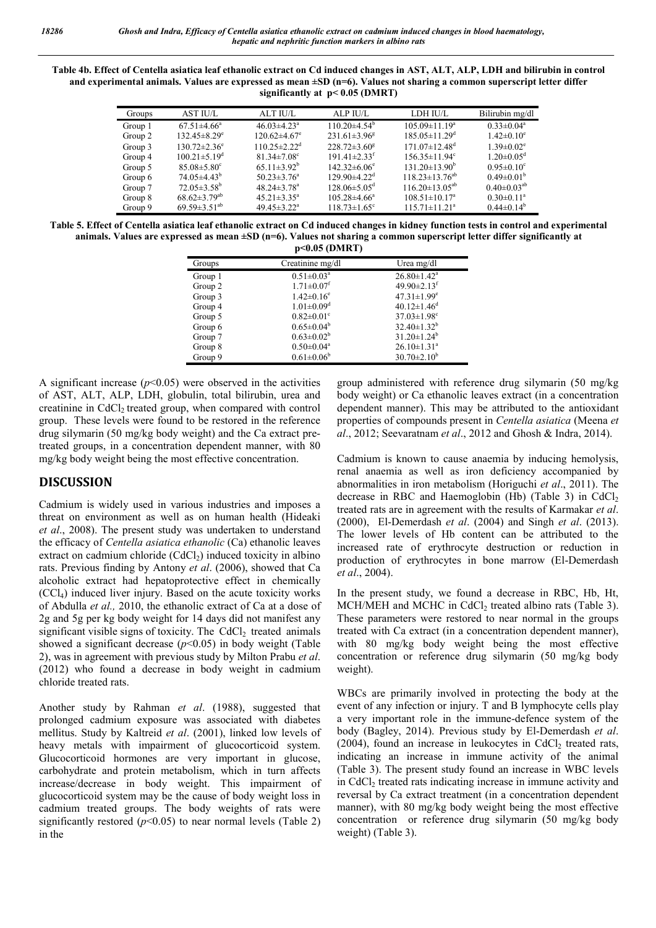Table 4b. Effect of Centella asiatica leaf ethanolic extract on Cd induced changes in AST, ALT, ALP, LDH and bilirubin in control and experimental animals. Values are expressed as mean ±SD (n=6). Values not sharing a common superscript letter differ significantly at  $p < 0.05$  (DMRT)

| Groups  | <b>AST IU/L</b>                | ALT IU/L                       | ALP IU/L                       | LDH IU/L                        | Bilirubin mg/dl              |
|---------|--------------------------------|--------------------------------|--------------------------------|---------------------------------|------------------------------|
| Group 1 | $67.51 \pm 4.66^a$             | $46.03 \pm 4.23$ <sup>a</sup>  | $110.20\pm4.54^{\circ}$        | $105.09 \pm 11.19^a$            | $0.33 \pm 0.04^a$            |
| Group 2 | $132.45 \pm 8.29^e$            | $120.62 \pm 4.67$ <sup>e</sup> | $231.61 \pm 3.96^8$            | $185.05 \pm 11.29$ <sup>d</sup> | $1.42 \pm 0.10^e$            |
| Group 3 | $130.72 \pm 2.36$ <sup>e</sup> | $110.25 \pm 2.22$ <sup>d</sup> | $228.72 \pm 3.60^8$            | $171.07\pm12.48^{\text{d}}$     | $1.39 \pm 0.02$ <sup>e</sup> |
| Group 4 | $100.21 \pm 5.19^{\circ}$      | $81.34 \pm 7.08$ <sup>c</sup>  | $191.41 \pm 2.33$ <sup>t</sup> | $156.35 \pm 11.94$ <sup>c</sup> | $1.20 \pm 0.05$ <sup>d</sup> |
| Group 5 | $85.08 \pm 5.80$ <sup>c</sup>  | $65.11 \pm 3.92^b$             | $142.32\pm 6.06^e$             | $131.20 \pm 13.90^b$            | $0.95 \pm 0.10^{\circ}$      |
| Group 6 | $74.05 \pm 4.43^{\rm b}$       | $50.23 \pm 3.76^a$             | $129.90\pm4.22$ <sup>d</sup>   | $118.23 \pm 13.76^{ab}$         | $0.49 \pm 0.01^b$            |
| Group 7 | $72.05 \pm 3.58^{\mathrm{b}}$  | $48.24 \pm 3.78$ <sup>a</sup>  | $128.06 \pm 5.05$ <sup>d</sup> | $116.20 \pm 13.05^{ab}$         | $0.40 \pm 0.03^{ab}$         |
| Group 8 | $68.62 \pm 3.79$ <sup>ab</sup> | $45.21 \pm 3.35^{\circ}$       | $105.28\pm4.66^a$              | $108.51 \pm 10.17^a$            | $0.30 \pm 0.11$ <sup>a</sup> |
| Group 9 | $69.59 \pm 3.51^{ab}$          | 49.45 $\pm$ 3.22 <sup>a</sup>  | $118.73 \pm 1.65$ <sup>c</sup> | $115.71 \pm 11.21^a$            | $0.44\pm0.14^b$              |

Table 5. Effect of Centella asiatica leaf ethanolic extract on Cd induced changes in kidney function tests in control and experimental animals. Values are expressed as mean ±SD (n=6). Values not sharing a common superscript letter differ significantly at  $p \leq 0.05$  (DMDT)

|         | $V = 0.03$ (DNINT)           |                               |
|---------|------------------------------|-------------------------------|
| Groups  | Creatinine mg/dl             | Urea mg/dl                    |
| Group 1 | $0.51 \pm 0.03^a$            | $26.80 \pm 1.42$ <sup>a</sup> |
| Group 2 | $1.71 \pm 0.07$ <sup>f</sup> | 49.90 $\pm$ 2.13 <sup>f</sup> |
| Group 3 | $1.42 \pm 0.16^e$            | $47.31 \pm 1.99$ <sup>e</sup> |
| Group 4 | $1.01 \pm 0.09$ <sup>d</sup> | $40.12 \pm 1.46$ <sup>d</sup> |
| Group 5 | $0.82 \pm 0.01$ <sup>c</sup> | $37.03 \pm 1.98$ <sup>c</sup> |
| Group 6 | $0.65 \pm 0.04^b$            | $32.40 \pm 1.32^b$            |
| Group 7 | $0.63 \pm 0.02^b$            | $31.20 \pm 1.24^b$            |
| Group 8 | $0.50 \pm 0.04$ <sup>a</sup> | $26.10 \pm 1.31$ <sup>a</sup> |
| Group 9 | $0.61 \pm 0.06^b$            | $30.70 \pm 2.10^b$            |

A significant increase  $(p<0.05)$  were observed in the activities of AST, ALT, ALP, LDH, globulin, total bilirubin, urea and creatinine in CdCl<sub>2</sub> treated group, when compared with control group. These levels were found to be restored in the reference drug silymarin (50 mg/kg body weight) and the Ca extract pretreated groups, in a concentration dependent manner, with 80 mg/kg body weight being the most effective concentration.

# DISCUSSION

Cadmium is widely used in various industries and imposes a threat on environment as well as on human health (Hideaki *et al*., 2008). The present study was undertaken to understand the efficacy of *Centella asiatica ethanolic* (Ca) ethanolic leaves extract on cadmium chloride  $(CdCl<sub>2</sub>)$  induced toxicity in albino rats. Previous finding by Antony *et al*. (2006), showed that Ca alcoholic extract had hepatoprotective effect in chemically  $(CCl<sub>4</sub>)$  induced liver injury. Based on the acute toxicity works of Abdulla *et al.,* 2010, the ethanolic extract of Ca at a dose of 2g and 5g per kg body weight for 14 days did not manifest any significant visible signs of toxicity. The CdCl<sub>2</sub> treated animals showed a significant decrease  $(p<0.05)$  in body weight (Table 2), was in agreement with previous study by Milton Prabu *et al*. (2012) who found a decrease in body weight in cadmium chloride treated rats.

Another study by Rahman *et al*. (1988), suggested that prolonged cadmium exposure was associated with diabetes mellitus. Study by Kaltreid *et al*. (2001), linked low levels of heavy metals with impairment of glucocorticoid system. Glucocorticoid hormones are very important in glucose, carbohydrate and protein metabolism, which in turn affects increase/decrease in body weight. This impairment of glucocorticoid system may be the cause of body weight loss in cadmium treated groups. The body weights of rats were significantly restored  $(p<0.05)$  to near normal levels (Table 2) in the

group administered with reference drug silymarin (50 mg/kg body weight) or Ca ethanolic leaves extract (in a concentration dependent manner). This may be attributed to the antioxidant properties of compounds present in *Centella asiatica* (Meena *et al*., 2012; Seevaratnam *et al*., 2012 and Ghosh & Indra, 2014).

Cadmium is known to cause anaemia by inducing hemolysis, renal anaemia as well as iron deficiency accompanied by abnormalities in iron metabolism (Horiguchi *et al*., 2011). The decrease in RBC and Haemoglobin (Hb) (Table 3) in CdCl<sub>2</sub> treated rats are in agreement with the results of Karmakar *et al*. (2000), El-Demerdash *et al*. (2004) and Singh *et al*. (2013). The lower levels of Hb content can be attributed to the increased rate of erythrocyte destruction or reduction in production of erythrocytes in bone marrow (El-Demerdash *et al*., 2004).

In the present study, we found a decrease in RBC, Hb, Ht, MCH/MEH and MCHC in CdCl<sub>2</sub> treated albino rats (Table 3). These parameters were restored to near normal in the groups treated with Ca extract (in a concentration dependent manner), with 80 mg/kg body weight being the most effective concentration or reference drug silymarin (50 mg/kg body weight).

WBCs are primarily involved in protecting the body at the event of any infection or injury. T and B lymphocyte cells play a very important role in the immune-defence system of the body (Bagley, 2014). Previous study by El-Demerdash *et al*.  $(2004)$ , found an increase in leukocytes in CdCl<sub>2</sub> treated rats, indicating an increase in immune activity of the animal (Table 3). The present study found an increase in WBC levels in CdCl<sub>2</sub> treated rats indicating increase in immune activity and reversal by Ca extract treatment (in a concentration dependent manner), with 80 mg/kg body weight being the most effective concentration or reference drug silymarin (50 mg/kg body weight) (Table 3).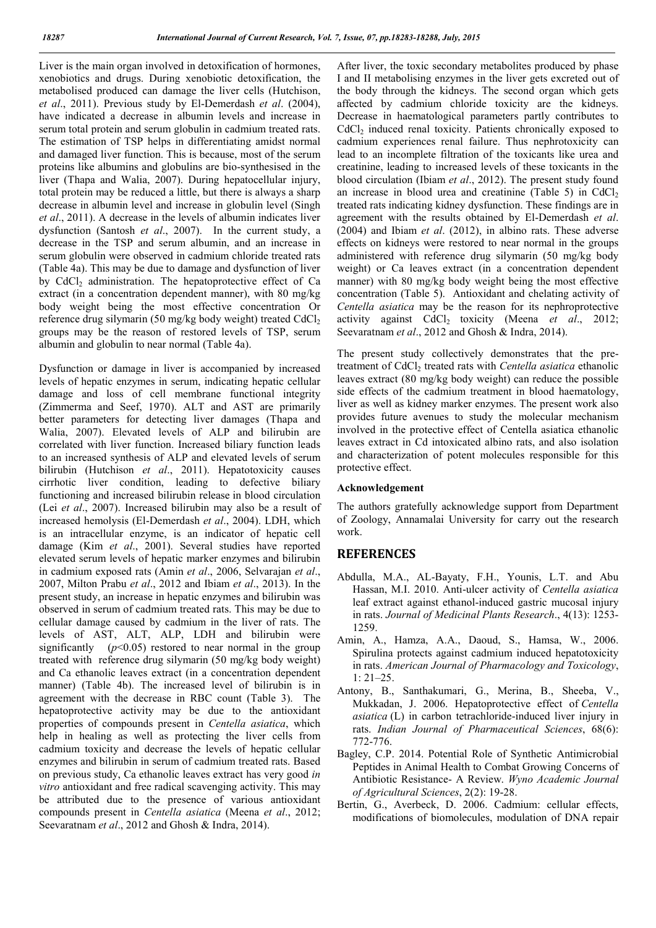Liver is the main organ involved in detoxification of hormones, xenobiotics and drugs. During xenobiotic detoxification, the metabolised produced can damage the liver cells (Hutchison, *et al*., 2011). Previous study by El-Demerdash *et al*. (2004), have indicated a decrease in albumin levels and increase in serum total protein and serum globulin in cadmium treated rats. The estimation of TSP helps in differentiating amidst normal and damaged liver function. This is because, most of the serum proteins like albumins and globulins are bio-synthesised in the liver (Thapa and Walia, 2007). During hepatocellular injury, total protein may be reduced a little, but there is always a sharp decrease in albumin level and increase in globulin level (Singh *et al*., 2011). A decrease in the levels of albumin indicates liver dysfunction (Santosh *et al*., 2007). In the current study, a decrease in the TSP and serum albumin, and an increase in serum globulin were observed in cadmium chloride treated rats (Table 4a). This may be due to damage and dysfunction of liver by CdCl<sub>2</sub> administration. The hepatoprotective effect of Ca extract (in a concentration dependent manner), with 80 mg/kg body weight being the most effective concentration Or reference drug silymarin (50 mg/kg body weight) treated CdCl<sub>2</sub> groups may be the reason of restored levels of TSP, serum albumin and globulin to near normal (Table 4a).

Dysfunction or damage in liver is accompanied by increased levels of hepatic enzymes in serum, indicating hepatic cellular damage and loss of cell membrane functional integrity (Zimmerma and Seef, 1970). ALT and AST are primarily better parameters for detecting liver damages (Thapa and Walia, 2007). Elevated levels of ALP and bilirubin are correlated with liver function. Increased biliary function leads to an increased synthesis of ALP and elevated levels of serum bilirubin (Hutchison *et al*., 2011). Hepatotoxicity causes cirrhotic liver condition, leading to defective biliary functioning and increased bilirubin release in blood circulation (Lei *et al*., 2007). Increased bilirubin may also be a result of increased hemolysis (El-Demerdash *et al*., 2004). LDH, which is an intracellular enzyme, is an indicator of hepatic cell damage (Kim *et al*., 2001). Several studies have reported elevated serum levels of hepatic marker enzymes and bilirubin in cadmium exposed rats (Amin *et al*., 2006, Selvarajan *et al*., 2007, Milton Prabu *et al*., 2012 and Ibiam *et al*., 2013). In the present study, an increase in hepatic enzymes and bilirubin was observed in serum of cadmium treated rats. This may be due to cellular damage caused by cadmium in the liver of rats. The levels of AST, ALT, ALP, LDH and bilirubin were significantly  $(p<0.05)$  restored to near normal in the group treated with reference drug silymarin (50 mg/kg body weight) and Ca ethanolic leaves extract (in a concentration dependent manner) (Table 4b). The increased level of bilirubin is in agreement with the decrease in RBC count (Table 3). The hepatoprotective activity may be due to the antioxidant properties of compounds present in *Centella asiatica*, which help in healing as well as protecting the liver cells from cadmium toxicity and decrease the levels of hepatic cellular enzymes and bilirubin in serum of cadmium treated rats. Based on previous study, Ca ethanolic leaves extract has very good *in vitro* antioxidant and free radical scavenging activity. This may be attributed due to the presence of various antioxidant compounds present in *Centella asiatica* (Meena *et al*., 2012; Seevaratnam *et al*., 2012 and Ghosh & Indra, 2014).

After liver, the toxic secondary metabolites produced by phase I and II metabolising enzymes in the liver gets excreted out of the body through the kidneys. The second organ which gets affected by cadmium chloride toxicity are the kidneys. Decrease in haematological parameters partly contributes to CdCl<sub>2</sub> induced renal toxicity. Patients chronically exposed to cadmium experiences renal failure. Thus nephrotoxicity can lead to an incomplete filtration of the toxicants like urea and creatinine, leading to increased levels of these toxicants in the blood circulation (Ibiam *et al*., 2012). The present study found an increase in blood urea and creatinine (Table 5) in CdCl<sub>2</sub> treated rats indicating kidney dysfunction. These findings are in agreement with the results obtained by El-Demerdash *et al*. (2004) and Ibiam *et al*. (2012), in albino rats. These adverse effects on kidneys were restored to near normal in the groups administered with reference drug silymarin (50 mg/kg body weight) or Ca leaves extract (in a concentration dependent manner) with 80 mg/kg body weight being the most effective concentration (Table 5). Antioxidant and chelating activity of *Centella asiatica* may be the reason for its nephroprotective activity against CdCl<sub>2</sub> toxicity (Meena *et al.*, 2012; Seevaratnam *et al*., 2012 and Ghosh & Indra, 2014).

The present study collectively demonstrates that the pretreatment of CdCl<sub>2</sub> treated rats with *Centella asiatica* ethanolic leaves extract (80 mg/kg body weight) can reduce the possible side effects of the cadmium treatment in blood haematology, liver as well as kidney marker enzymes. The present work also provides future avenues to study the molecular mechanism involved in the protective effect of Centella asiatica ethanolic leaves extract in Cd intoxicated albino rats, and also isolation and characterization of potent molecules responsible for this protective effect.

#### Acknowledgement

The authors gratefully acknowledge support from Department of Zoology, Annamalai University for carry out the research work.

#### **REFERENCES**

- Abdulla, M.A., AL-Bayaty, F.H., Younis, L.T. and Abu Hassan, M.I. 2010. Anti-ulcer activity of *Centella asiatica* leaf extract against ethanol-induced gastric mucosal injury in rats. *Journal of Medicinal Plants Research*., 4(13): 1253- 1259.
- Amin, A., Hamza, A.A., Daoud, S., Hamsa, W., 2006. Spirulina protects against cadmium induced hepatotoxicity in rats. *American Journal of Pharmacology and Toxicology*, 1: 21–25.
- Antony, B., Santhakumari, G., Merina, B., Sheeba, V., Mukkadan, J. 2006. Hepatoprotective effect of *Centella asiatica* (L) in carbon tetrachloride-induced liver injury in rats. *Indian Journal of Pharmaceutical Sciences*, 68(6): 772-776.
- Bagley, C.P. 2014. Potential Role of Synthetic Antimicrobial Peptides in Animal Health to Combat Growing Concerns of Antibiotic Resistance- A Review. *Wyno Academic Journal of Agricultural Sciences*, 2(2): 19-28.
- Bertin, G., Averbeck, D. 2006. Cadmium: cellular effects, modifications of biomolecules, modulation of DNA repair